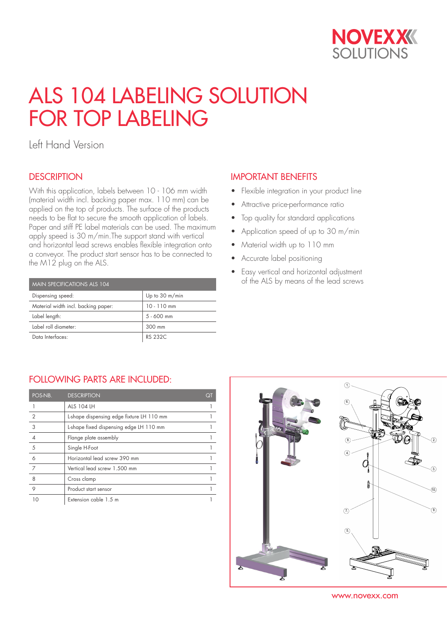

# ALS 104 LABELING SOLUTION FOR TOP LABELING

Left Hand Version

### **DESCRIPTION**

With this application, labels between 10 - 106 mm width (material width incl. backing paper max. 110 mm) can be applied on the top of products. The surface of the products needs to be flat to secure the smooth application of labels. Paper and stiff PE label materials can be used. The maximum apply speed is 30 m/min.The support stand with vertical and horizontal lead screws enables flexible integration onto a conveyor. The product start sensor has to be connected to the M12 plug on the ALS.

| MAIN SPECIFICATIONS ALS 104         |                |  |  |  |
|-------------------------------------|----------------|--|--|--|
| Dispensing speed:                   | Up to 30 m/min |  |  |  |
| Material width incl. backing paper: | $10 - 110$ mm  |  |  |  |
| Label length:                       | $5 - 600$ mm   |  |  |  |
| Label roll diameter:                | 300 mm         |  |  |  |
| Data Interfaces:                    | RS 232C        |  |  |  |

## IMPORTANT BENEFITS

- Flexible integration in your product line
- Attractive price-performance ratio
- Top quality for standard applications
- Application speed of up to 30 m/min
- Material width up to 110 mm
- Accurate label positioning
- Easy vertical and horizontal adjustment of the ALS by means of the lead screws

### FOLLOWING PARTS ARE INCLUDED:

| POS-NB.        | <b>DESCRIPTION</b>                        | QΊ |
|----------------|-------------------------------------------|----|
|                | <b>ALS 104 LH</b>                         |    |
| $\overline{2}$ | L-shape dispensing edge fixture LH 110 mm |    |
| 3              | L-shape fixed dispensing edge LH 110 mm   |    |
|                | Flange plate assembly                     |    |
| 5              | Single H-Foot                             |    |
| 6              | Horizontal lead screw 390 mm              |    |
| 7              | Vertical lead screw 1.500 mm              |    |
| 8              | Cross clamp                               |    |
| 9              | Product start sensor                      |    |
|                | Extension cable 1.5 m                     |    |



www.novexx.com